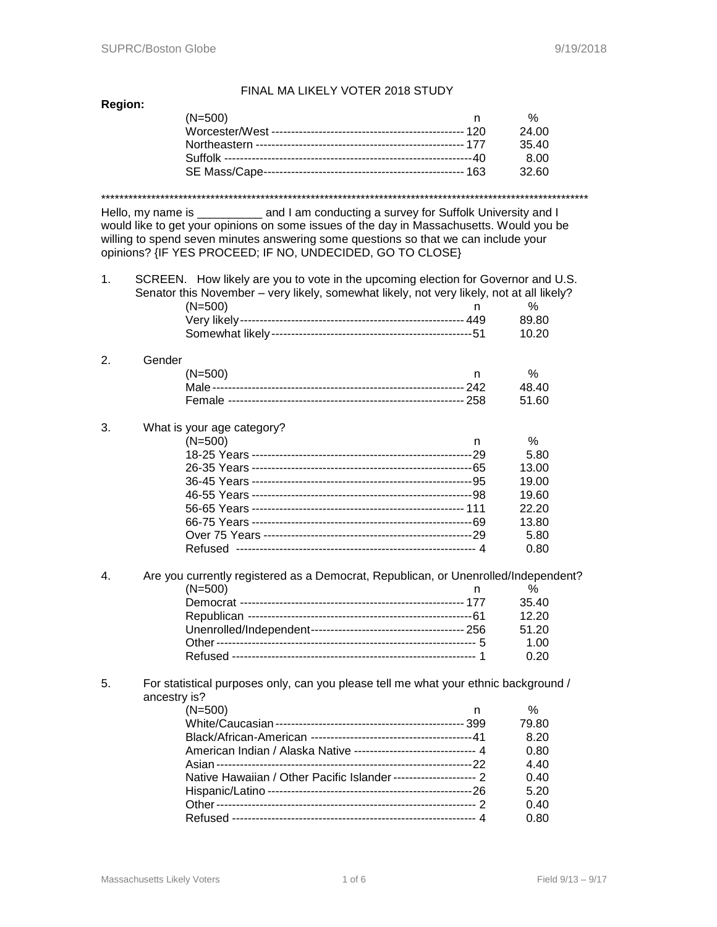# **Region:**

# FINAL MA LIKELY VOTER 2018 STUDY

| (N=500) | %     |
|---------|-------|
|         | 24.00 |
|         | 3540  |
|         | 8.OO  |
|         | 32.60 |
|         |       |

\*\*\*\*\*\*\*\*\*\*\*\*\*\*\*\*\*\*\*\*\*\*\*\*\*\*\*\*\*\*\*\*\*\*\*\*\*\*\*\*\*\*\*\*\*\*\*\*\*\*\*\*\*\*\*\*\*\*\*\*\*\*\*\*\*\*\*\*\*\*\*\*\*\*\*\*\*\*\*\*\*\*\*\*\*\*\*\*\*\*\*\*\*\*\*\*\*\*\*\*\*\*\*\*\*\*\*

Hello, my name is \_\_\_\_\_\_\_\_\_\_ and I am conducting a survey for Suffolk University and I would like to get your opinions on some issues of the day in Massachusetts. Would you be willing to spend seven minutes answering some questions so that we can include your opinions? {IF YES PROCEED; IF NO, UNDECIDED, GO TO CLOSE}

| 1. | SCREEN. How likely are you to vote in the upcoming election for Governor and U.S.<br>Senator this November - very likely, somewhat likely, not very likely, not at all likely?<br>$(N=500)$ | n | $\%$  |
|----|---------------------------------------------------------------------------------------------------------------------------------------------------------------------------------------------|---|-------|
|    |                                                                                                                                                                                             |   | 89.80 |
|    |                                                                                                                                                                                             |   | 10.20 |
| 2. | Gender                                                                                                                                                                                      |   |       |
|    | $(N=500)$                                                                                                                                                                                   | n | %     |
|    |                                                                                                                                                                                             |   | 48.40 |
|    |                                                                                                                                                                                             |   | 51.60 |
| 3. | What is your age category?                                                                                                                                                                  |   |       |
|    | $(N=500)$                                                                                                                                                                                   | n | $\%$  |
|    |                                                                                                                                                                                             |   | 5.80  |
|    |                                                                                                                                                                                             |   | 13.00 |
|    |                                                                                                                                                                                             |   | 19.00 |
|    |                                                                                                                                                                                             |   | 19.60 |
|    |                                                                                                                                                                                             |   | 22.20 |
|    |                                                                                                                                                                                             |   | 13.80 |
|    |                                                                                                                                                                                             |   | 5.80  |
|    |                                                                                                                                                                                             |   | 0.80  |
| 4. | Are you currently registered as a Democrat, Republican, or Unenrolled/Independent?                                                                                                          |   |       |
|    | $(N=500)$                                                                                                                                                                                   | n | $\%$  |
|    |                                                                                                                                                                                             |   | 35.40 |
|    |                                                                                                                                                                                             |   | 12.20 |
|    |                                                                                                                                                                                             |   | 51.20 |
|    |                                                                                                                                                                                             |   | 1.00  |
|    |                                                                                                                                                                                             |   | 0.20  |

## 5. For statistical purposes only, can you please tell me what your ethnic background / ancestry is?

| $(N=500)$                                                           | $\%$  |
|---------------------------------------------------------------------|-------|
|                                                                     | 79.80 |
|                                                                     | 8.20  |
| American Indian / Alaska Native --------------------------------- 4 | 0.80  |
|                                                                     | 4.40  |
| Native Hawaiian / Other Pacific Islander ---------------------- 2   | 0.40  |
|                                                                     | 5.20  |
|                                                                     | 0.40  |
|                                                                     | 0.80  |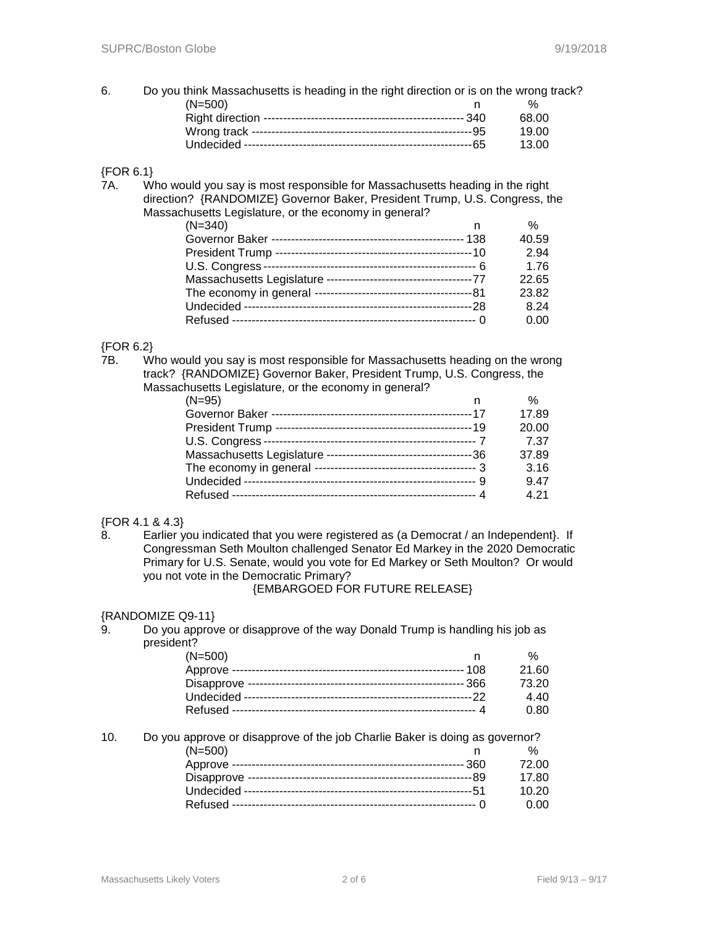6. Do you think Massachusetts is heading in the right direction or is on the wrong track? (N=500) n % Right direction --------------------------------------------------- 340 68.00 Wrong track --------------------------------------------------------95 19.00 Undecided ----------------------------------------------------------65 13.00

## {FOR 6.1}

7A. Who would you say is most responsible for Massachusetts heading in the right direction? {RANDOMIZE} Governor Baker, President Trump, U.S. Congress, the Massachusetts Legislature, or the economy in general?

| $(N=340)$ | %     |
|-----------|-------|
|           | 40.59 |
|           | 2.94  |
|           | 1.76  |
|           | 22.65 |
|           | 23.82 |
|           | 8.24  |
|           | 0.00  |

# {FOR 6.2}

7B. Who would you say is most responsible for Massachusetts heading on the wrong track? {RANDOMIZE} Governor Baker, President Trump, U.S. Congress, the Massachusetts Legislature, or the economy in general?

| $(N=95)$ | $\%$  |
|----------|-------|
|          | 17.89 |
|          | 20.00 |
|          | 7.37  |
|          | 37.89 |
|          | 3.16  |
|          | 9.47  |
|          | 4 21  |

## {FOR 4.1 & 4.3}

8. Earlier you indicated that you were registered as (a Democrat / an Independent}. If Congressman Seth Moulton challenged Senator Ed Markey in the 2020 Democratic Primary for U.S. Senate, would you vote for Ed Markey or Seth Moulton? Or would you not vote in the Democratic Primary?

{EMBARGOED FOR FUTURE RELEASE}

#### {RANDOMIZE Q9-11}

9. Do you approve or disapprove of the way Donald Trump is handling his job as president?

| $(N=500)$ |       |
|-----------|-------|
|           | 21.60 |
|           | 73.20 |
|           | 4.40  |
|           | 0.80  |

10. Do you approve or disapprove of the job Charlie Baker is doing as governor?

| $(N=500)$ |       |
|-----------|-------|
|           | 72.00 |
|           | 17.80 |
|           | 10.20 |
|           | n nn  |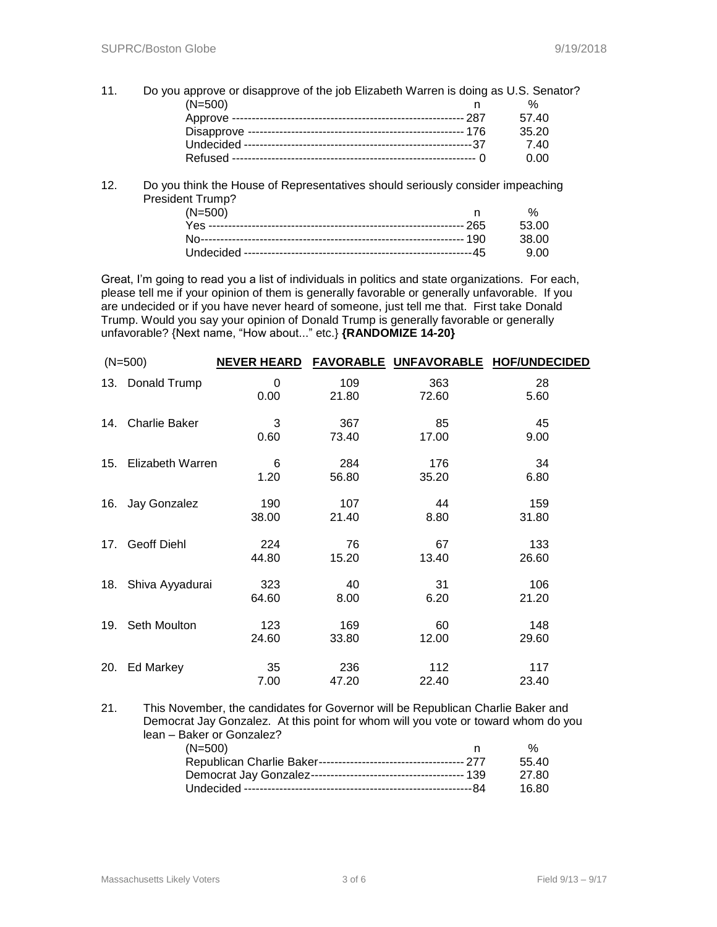- 11. Do you approve or disapprove of the job Elizabeth Warren is doing as U.S. Senator? (N=500) n % Approve ----------------------------------------------------------- 287 57.40 Disapprove ------------------------------------------------------- 176 35.20 Undecided ----------------------------------------------------------37 7.40 Refused -------------------------------------------------------------- 0 0.00
- 12. Do you think the House of Representatives should seriously consider impeaching President Trump?

| $(N=500)$ | $\frac{0}{6}$ |
|-----------|---------------|
|           |               |
|           |               |
|           |               |

Great, I'm going to read you a list of individuals in politics and state organizations. For each, please tell me if your opinion of them is generally favorable or generally unfavorable. If you are undecided or if you have never heard of someone, just tell me that. First take Donald Trump. Would you say your opinion of Donald Trump is generally favorable or generally unfavorable? {Next name, "How about..." etc.} **{RANDOMIZE 14-20}**

|     | $(N=500)$            | <b>NEVER HEARD</b> |              | FAVORABLE UNFAVORABLE | <b>HOF/UNDECIDED</b> |
|-----|----------------------|--------------------|--------------|-----------------------|----------------------|
|     | 13. Donald Trump     | 0<br>0.00          | 109<br>21.80 | 363<br>72.60          | 28<br>5.60           |
| 14. | <b>Charlie Baker</b> | 3<br>0.60          | 367<br>73.40 | 85<br>17.00           | 45<br>9.00           |
| 15. | Elizabeth Warren     | 6<br>1.20          | 284<br>56.80 | 176<br>35.20          | 34<br>6.80           |
| 16. | Jay Gonzalez         | 190<br>38.00       | 107<br>21.40 | 44<br>8.80            | 159<br>31.80         |
| 17. | <b>Geoff Diehl</b>   | 224<br>44.80       | 76<br>15.20  | 67<br>13.40           | 133<br>26.60         |
| 18. | Shiva Ayyadurai      | 323<br>64.60       | 40<br>8.00   | 31<br>6.20            | 106<br>21.20         |
| 19. | Seth Moulton         | 123<br>24.60       | 169<br>33.80 | 60<br>12.00           | 148<br>29.60         |
| 20. | Ed Markey            | 35<br>7.00         | 236<br>47.20 | 112<br>22.40          | 117<br>23.40         |
|     |                      |                    |              |                       |                      |

21. This November, the candidates for Governor will be Republican Charlie Baker and Democrat Jay Gonzalez. At this point for whom will you vote or toward whom do you lean – Baker or Gonzalez? (N=500) n % Republican Charlie Baker------------------------------------- 277 55.40 Democrat Jay Gonzalez--------------------------------------- 139 27.80 Undecided ----------------------------------------------------------84 16.80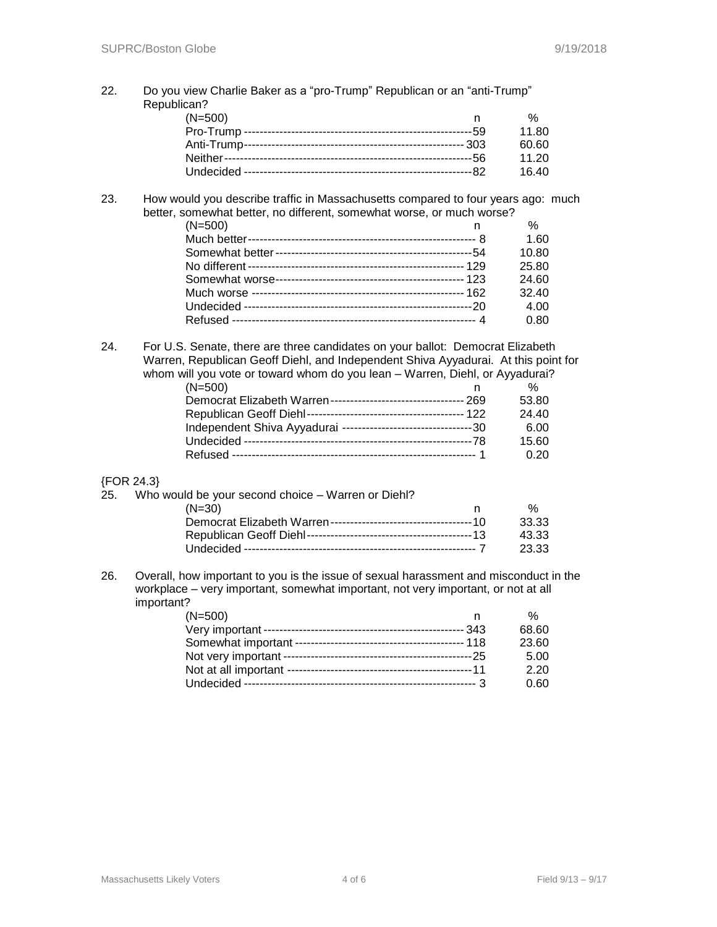22. Do you view Charlie Baker as a "pro-Trump" Republican or an "anti-Trump" Republican?

| $(N=500)$ |       |
|-----------|-------|
|           | 11.80 |
|           | 60 60 |
|           | 11.20 |
|           | 16.40 |

#### 23. How would you describe traffic in Massachusetts compared to four years ago: much better, somewhat better, no different, somewhat worse, or much worse?

| $(N=500)$ | %     |
|-----------|-------|
|           | 1.60  |
|           | 10.80 |
|           | 25.80 |
|           | 24.60 |
|           | 32.40 |
|           | 4.00  |
|           | 0.80  |
|           |       |

24. For U.S. Senate, there are three candidates on your ballot: Democrat Elizabeth Warren, Republican Geoff Diehl, and Independent Shiva Ayyadurai. At this point for whom will you vote or toward whom do you lean – Warren, Diehl, or Ayyadurai?

| $(N=500)$ |       |
|-----------|-------|
|           | 53.80 |
|           | 24.40 |
|           | 6.00  |
|           | 15.60 |
|           | 0.20  |

## {FOR 24.3}

| 25. | Who would be your second choice – Warren or Diehl? |       |
|-----|----------------------------------------------------|-------|
|     |                                                    |       |
|     | $(N=30)$                                           | %     |
|     |                                                    | 33.33 |
|     |                                                    | 43.33 |
|     |                                                    | 23.33 |
|     |                                                    |       |

26. Overall, how important to you is the issue of sexual harassment and misconduct in the workplace – very important, somewhat important, not very important, or not at all important?

| $(N=500)$ | $\%$  |
|-----------|-------|
|           | 68.60 |
|           | 23.60 |
|           | 5.00  |
|           | 2.20  |
|           | 0.60  |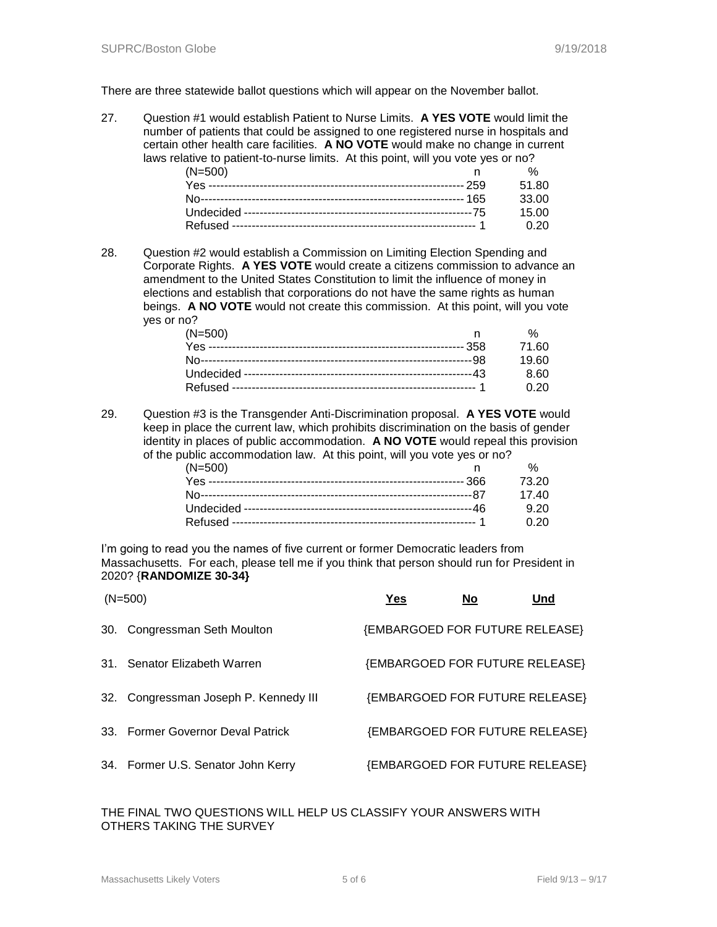There are three statewide ballot questions which will appear on the November ballot.

27. Question #1 would establish Patient to Nurse Limits. **A YES VOTE** would limit the number of patients that could be assigned to one registered nurse in hospitals and certain other health care facilities. **A NO VOTE** would make no change in current laws relative to patient-to-nurse limits. At this point, will you vote yes or no?

| $(N=500)$ |        |
|-----------|--------|
|           | 51.80  |
|           | .33.00 |
|           | 15 OO  |
|           | .ስ 20  |

28. Question #2 would establish a Commission on Limiting Election Spending and Corporate Rights. **A YES VOTE** would create a citizens commission to advance an amendment to the United States Constitution to limit the influence of money in elections and establish that corporations do not have the same rights as human beings. **A NO VOTE** would not create this commission. At this point, will you vote yes or no?

| $(N=500)$ |             |
|-----------|-------------|
|           | 71.60       |
|           | 19 RO       |
|           | 8.60        |
|           | <u>በ 20</u> |

29. Question #3 is the Transgender Anti-Discrimination proposal. **A YES VOTE** would keep in place the current law, which prohibits discrimination on the basis of gender identity in places of public accommodation. **A NO VOTE** would repeal this provision of the public accommodation law. At this point, will you vote yes or no?

| $(N=500)$ |             |
|-----------|-------------|
|           | 73.20       |
|           | 17 40       |
|           | 9.20        |
|           | <u>በ 2በ</u> |

I'm going to read you the names of five current or former Democratic leaders from Massachusetts. For each, please tell me if you think that person should run for President in 2020? {**RANDOMIZE 30-34}**

| $(N=500)$                             | Yes | <b>No</b> | Und                            |
|---------------------------------------|-----|-----------|--------------------------------|
| 30. Congressman Seth Moulton          |     |           | {EMBARGOED FOR FUTURE RELEASE} |
| 31. Senator Elizabeth Warren          |     |           | {EMBARGOED FOR FUTURE RELEASE} |
| 32. Congressman Joseph P. Kennedy III |     |           | {EMBARGOED FOR FUTURE RELEASE} |
| 33. Former Governor Deval Patrick     |     |           | {EMBARGOED FOR FUTURE RELEASE} |
| 34. Former U.S. Senator John Kerry    |     |           | {EMBARGOED FOR FUTURE RELEASE} |

## THE FINAL TWO QUESTIONS WILL HELP US CLASSIFY YOUR ANSWERS WITH OTHERS TAKING THE SURVEY